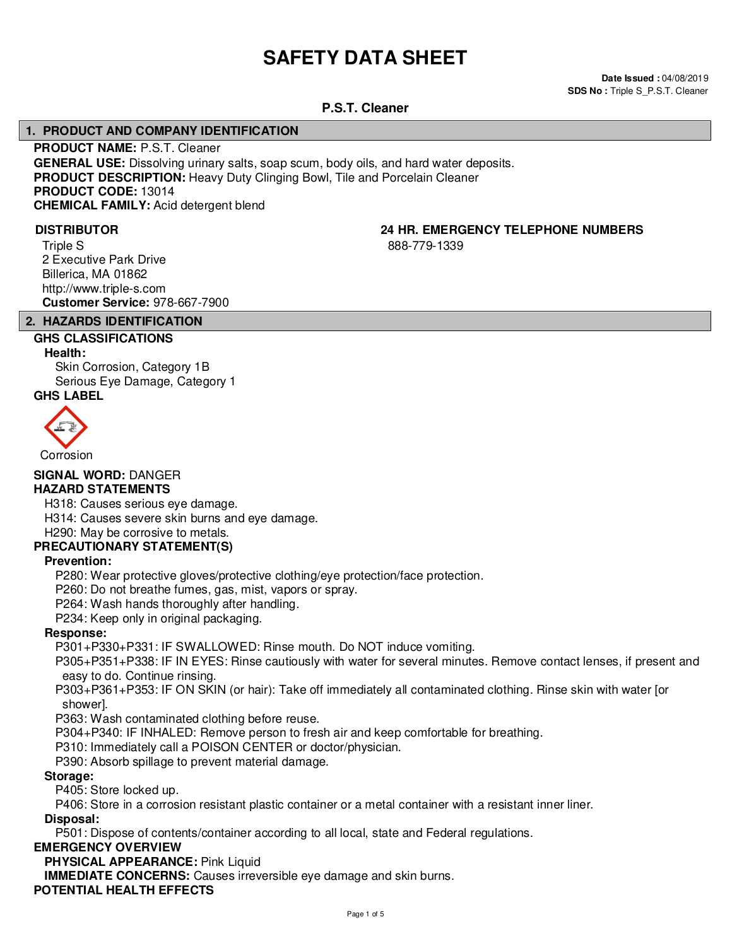# **SAFETY DATA SHEET**

**Date Issued :** 04/08/2019 **SDS No : Triple S P.S.T. Cleaner** 

#### **P.S.T. Cleaner**

#### **1. PRODUCT AND COMPANY IDENTIFICATION**

**PRODUCT NAME:** P.S.T. Cleaner **GENERAL USE:** Dissolving urinary salts, soap scum, body oils, and hard water deposits. **PRODUCT DESCRIPTION:** Heavy Duty Clinging Bowl, Tile and Porcelain Cleaner **PRODUCT CODE:** 13014 **CHEMICAL FAMILY:** Acid detergent blend

Triple S 2 Executive Park Drive Billerica, MA 01862 http://www.triple-s.com **Customer Service:** 978-667-7900

## **DISTRIBUTOR 24 HR. EMERGENCY TELEPHONE NUMBERS**

888-779-1339

#### **2. HAZARDS IDENTIFICATION GHS CLASSIFICATIONS**

## **Health:**

Skin Corrosion, Category 1B Serious Eye Damage, Category 1

### **GHS LABEL**



### Corrosion

**SIGNAL WORD:** DANGER

#### **HAZARD STATEMENTS**

H318: Causes serious eye damage.

H314: Causes severe skin burns and eye damage.

H290: May be corrosive to metals.

#### **PRECAUTIONARY STATEMENT(S)**

#### **Prevention:**

P280: Wear protective gloves/protective clothing/eye protection/face protection.

P260: Do not breathe fumes, gas, mist, vapors or spray.

P264: Wash hands thoroughly after handling.

P234: Keep only in original packaging.

#### **Response:**

P301+P330+P331: IF SWALLOWED: Rinse mouth. Do NOT induce vomiting.

P305+P351+P338: IF IN EYES: Rinse cautiously with water for several minutes. Remove contact lenses, if present and easy to do. Continue rinsing.

P303+P361+P353: IF ON SKIN (or hair): Take off immediately all contaminated clothing. Rinse skin with water [or shower].

P363: Wash contaminated clothing before reuse.

P304+P340: IF INHALED: Remove person to fresh air and keep comfortable for breathing.

P310: Immediately call a POISON CENTER or doctor/physician.

P390: Absorb spillage to prevent material damage.

#### **Storage:**

P405: Store locked up.

P406: Store in a corrosion resistant plastic container or a metal container with a resistant inner liner.

#### **Disposal:**

P501: Dispose of contents/container according to all local, state and Federal regulations.

#### **EMERGENCY OVERVIEW**

**PHYSICAL APPEARANCE:** Pink Liquid

**IMMEDIATE CONCERNS:** Causes irreversible eye damage and skin burns.

#### **POTENTIAL HEALTH EFFECTS**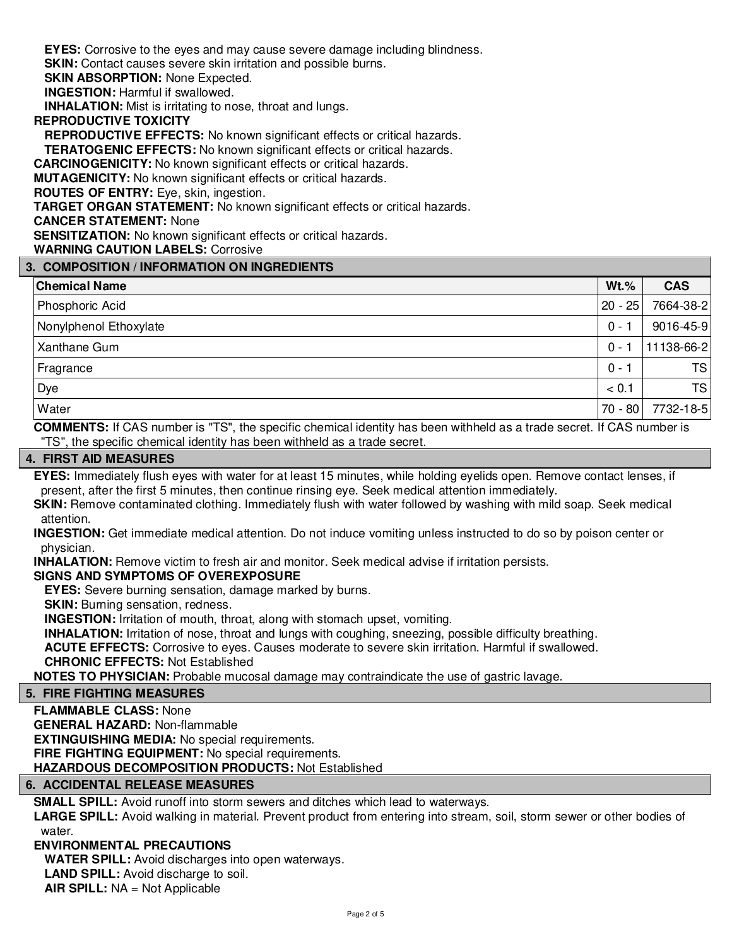**EYES:** Corrosive to the eyes and may cause severe damage including blindness.

**SKIN:** Contact causes severe skin irritation and possible burns.

**SKIN ABSORPTION: None Expected.** 

**INGESTION:** Harmful if swallowed.

**INHALATION:** Mist is irritating to nose, throat and lungs.

#### **REPRODUCTIVE TOXICITY**

**REPRODUCTIVE EFFECTS:** No known significant effects or critical hazards.

**TERATOGENIC EFFECTS:** No known significant effects or critical hazards.

**CARCINOGENICITY:** No known significant effects or critical hazards.

**MUTAGENICITY:** No known significant effects or critical hazards.

**ROUTES OF ENTRY:** Eye, skin, ingestion.

**TARGET ORGAN STATEMENT:** No known significant effects or critical hazards.

**CANCER STATEMENT:** None

**SENSITIZATION:** No known significant effects or critical hazards.

#### **WARNING CAUTION LABELS:** Corrosive

#### **3. COMPOSITION / INFORMATION ON INGREDIENTS**

| <b>Chemical Name</b>   | $Wt$ %  | <b>CAS</b> |
|------------------------|---------|------------|
| Phosphoric Acid        | 20 - 25 | 7664-38-2  |
| Nonylphenol Ethoxylate | $0 - 1$ | 9016-45-9  |
| Xanthane Gum           | $0 - 1$ | 11138-66-2 |
| Fragrance              | $0 - 1$ | <b>TS</b>  |
| Dye                    | < 0.1   | <b>TS</b>  |
| Water                  | 70 - 80 | 7732-18-5  |

**COMMENTS:** If CAS number is "TS", the specific chemical identity has been withheld as a trade secret. If CAS number is "TS", the specific chemical identity has been withheld as a trade secret.

#### **4. FIRST AID MEASURES**

**EYES:** Immediately flush eyes with water for at least 15 minutes, while holding eyelids open. Remove contact lenses, if present, after the first 5 minutes, then continue rinsing eye. Seek medical attention immediately.

**SKIN:** Remove contaminated clothing. Immediately flush with water followed by washing with mild soap. Seek medical attention.

**INGESTION:** Get immediate medical attention. Do not induce vomiting unless instructed to do so by poison center or physician.

**INHALATION:** Remove victim to fresh air and monitor. Seek medical advise if irritation persists.

#### **SIGNS AND SYMPTOMS OF OVEREXPOSURE**

**EYES:** Severe burning sensation, damage marked by burns.

**SKIN:** Burning sensation, redness.

**INGESTION:** Irritation of mouth, throat, along with stomach upset, vomiting.

**INHALATION:** Irritation of nose, throat and lungs with coughing, sneezing, possible difficulty breathing.

**ACUTE EFFECTS:** Corrosive to eyes. Causes moderate to severe skin irritation. Harmful if swallowed.

**CHRONIC EFFECTS:** Not Established

**NOTES TO PHYSICIAN:** Probable mucosal damage may contraindicate the use of gastric lavage.

#### **5. FIRE FIGHTING MEASURES**

**FLAMMABLE CLASS:** None

**GENERAL HAZARD:** Non-flammable

**EXTINGUISHING MEDIA:** No special requirements.

**FIRE FIGHTING EQUIPMENT:** No special requirements.

**HAZARDOUS DECOMPOSITION PRODUCTS:** Not Established

#### **6. ACCIDENTAL RELEASE MEASURES**

**SMALL SPILL:** Avoid runoff into storm sewers and ditches which lead to waterways.

**LARGE SPILL:** Avoid walking in material. Prevent product from entering into stream, soil, storm sewer or other bodies of water

#### **ENVIRONMENTAL PRECAUTIONS**

**WATER SPILL:** Avoid discharges into open waterways.

**LAND SPILL:** Avoid discharge to soil.

**AIR SPILL:** NA = Not Applicable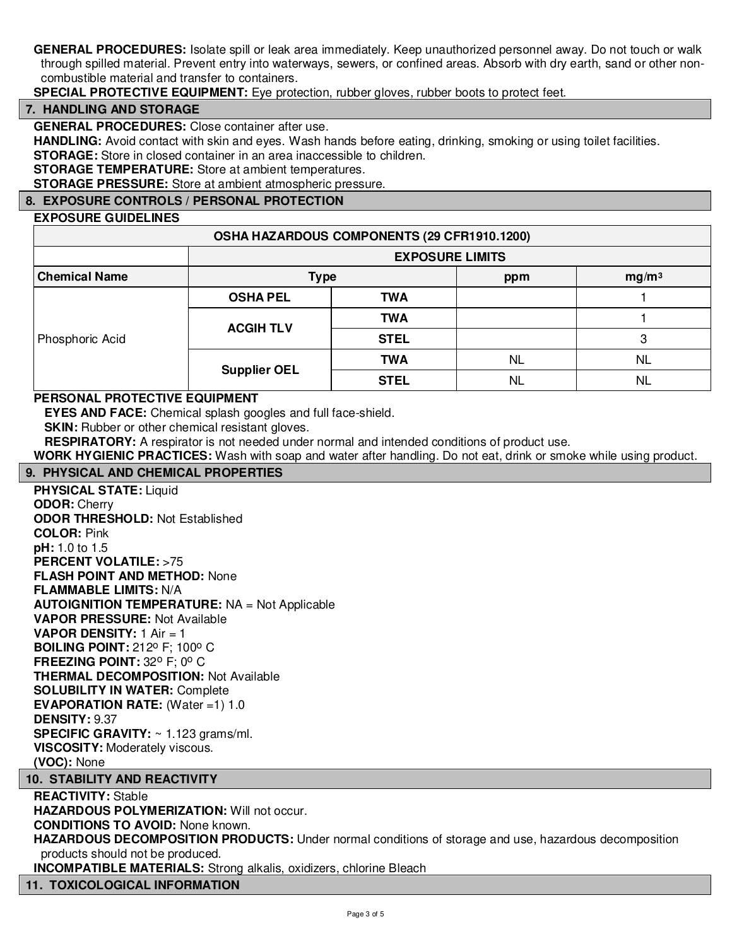**GENERAL PROCEDURES:** Isolate spill or leak area immediately. Keep unauthorized personnel away. Do not touch or walk through spilled material. Prevent entry into waterways, sewers, or confined areas. Absorb with dry earth, sand or other noncombustible material and transfer to containers.

**SPECIAL PROTECTIVE EQUIPMENT:** Eye protection, rubber gloves, rubber boots to protect feet.

#### **7. HANDLING AND STORAGE**

**GENERAL PROCEDURES:** Close container after use.

**HANDLING:** Avoid contact with skin and eyes. Wash hands before eating, drinking, smoking or using toilet facilities.

**STORAGE:** Store in closed container in an area inaccessible to children.

**STORAGE TEMPERATURE:** Store at ambient temperatures.

**STORAGE PRESSURE:** Store at ambient atmospheric pressure.

#### **8. EXPOSURE CONTROLS / PERSONAL PROTECTION**

#### **EXPOSURE GUIDELINES**

| OSHA HAZARDOUS COMPONENTS (29 CFR1910.1200) |                        |             |           |                   |  |
|---------------------------------------------|------------------------|-------------|-----------|-------------------|--|
|                                             | <b>EXPOSURE LIMITS</b> |             |           |                   |  |
| <b>Chemical Name</b>                        | <b>Type</b>            |             | ppm       | mg/m <sup>3</sup> |  |
| Phosphoric Acid                             | <b>OSHA PEL</b>        | <b>TWA</b>  |           |                   |  |
|                                             | <b>ACGIH TLV</b>       | <b>TWA</b>  |           |                   |  |
|                                             |                        | <b>STEL</b> |           | 3                 |  |
|                                             | <b>Supplier OEL</b>    | <b>TWA</b>  | <b>NL</b> | <b>NL</b>         |  |
|                                             |                        | <b>STEL</b> | <b>NL</b> | NL                |  |

#### **PERSONAL PROTECTIVE EQUIPMENT**

**EYES AND FACE:** Chemical splash googles and full face-shield.

**SKIN:** Rubber or other chemical resistant gloves.

**RESPIRATORY:** A respirator is not needed under normal and intended conditions of product use.

**WORK HYGIENIC PRACTICES:** Wash with soap and water after handling. Do not eat, drink or smoke while using product.

#### **9. PHYSICAL AND CHEMICAL PROPERTIES**

**PHYSICAL STATE:** Liquid **ODOR:** Cherry **ODOR THRESHOLD:** Not Established **COLOR:** Pink **pH:** 1.0 to 1.5 **PERCENT VOLATILE: >75 FLASH POINT AND METHOD:** None **FLAMMABLE LIMITS:** N/A **AUTOIGNITION TEMPERATURE:** NA = Not Applicable **VAPOR PRESSURE:** Not Available **VAPOR DENSITY:** 1 Air = 1 **BOILING POINT: 212° F; 100° C FREEZING POINT: 32° F; 0° C THERMAL DECOMPOSITION:** Not Available **SOLUBILITY IN WATER:** Complete **EVAPORATION RATE:** (Water =1) 1.0 **DENSITY:** 9.37 **SPECIFIC GRAVITY:** ~ 1.123 grams/ml. **VISCOSITY:** Moderately viscous. **(VOC):** None

#### **10. STABILITY AND REACTIVITY**

**REACTIVITY:** Stable **HAZARDOUS POLYMERIZATION:** Will not occur. **CONDITIONS TO AVOID:** None known. **HAZARDOUS DECOMPOSITION PRODUCTS:** Under normal conditions of storage and use, hazardous decomposition products should not be produced. **INCOMPATIBLE MATERIALS:** Strong alkalis, oxidizers, chlorine Bleach

#### **11. TOXICOLOGICAL INFORMATION**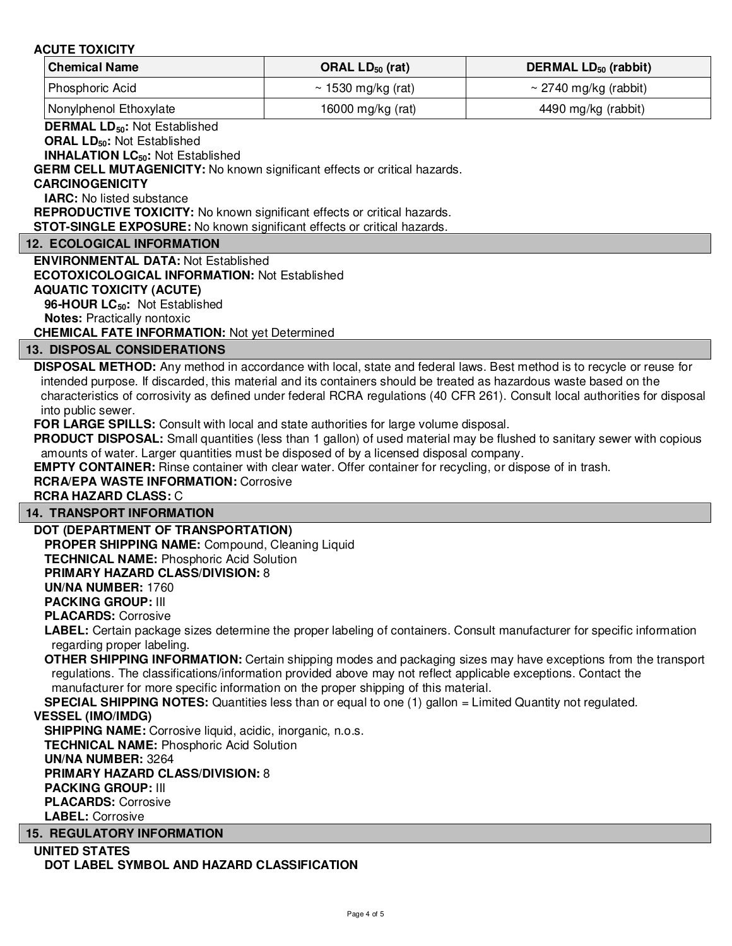#### **ACUTE TOXICITY**

| <b>Chemical Name</b>          | ORAL $LD_{50}$ (rat)    | DERMAL $LD_{50}$ (rabbit)  |  |
|-------------------------------|-------------------------|----------------------------|--|
| Phosphoric Acid               | $\sim$ 1530 mg/kg (rat) | $\sim$ 2740 mg/kg (rabbit) |  |
| <b>Nonylphenol Ethoxylate</b> | 16000 mg/kg (rat)       | 4490 mg/kg (rabbit)        |  |

**DERMAL LD50:** Not Established

**ORAL LD50:** Not Established

**INHALATION LC50:** Not Established

**GERM CELL MUTAGENICITY:** No known significant effects or critical hazards.

#### **CARCINOGENICITY**

**IARC:** No listed substance

**REPRODUCTIVE TOXICITY:** No known significant effects or critical hazards.

**STOT-SINGLE EXPOSURE:** No known significant effects or critical hazards.

#### **12. ECOLOGICAL INFORMATION**

**ENVIRONMENTAL DATA:** Not Established **ECOTOXICOLOGICAL INFORMATION:** Not Established **AQUATIC TOXICITY (ACUTE) 96-HOUR LC50:** Not Established

**Notes:** Practically nontoxic

**CHEMICAL FATE INFORMATION:** Not yet Determined

#### **13. DISPOSAL CONSIDERATIONS**

**DISPOSAL METHOD:** Any method in accordance with local, state and federal laws. Best method is to recycle or reuse for intended purpose. If discarded, this material and its containers should be treated as hazardous waste based on the characteristics of corrosivity as defined under federal RCRA regulations (40 CFR 261). Consult local authorities for disposal into public sewer.

**FOR LARGE SPILLS:** Consult with local and state authorities for large volume disposal.

PRODUCT DISPOSAL: Small quantities (less than 1 gallon) of used material may be flushed to sanitary sewer with copious amounts of water. Larger quantities must be disposed of by a licensed disposal company.

**EMPTY CONTAINER:** Rinse container with clear water. Offer container for recycling, or dispose of in trash.

### **RCRA/EPA WASTE INFORMATION:** Corrosive

#### **RCRA HAZARD CLASS:** C

#### **14. TRANSPORT INFORMATION**

#### **DOT (DEPARTMENT OF TRANSPORTATION)**

**PROPER SHIPPING NAME:** Compound, Cleaning Liquid **TECHNICAL NAME:** Phosphoric Acid Solution

#### **PRIMARY HAZARD CLASS/DIVISION:** 8

**UN/NA NUMBER:** 1760

**PACKING GROUP:** III

**PLACARDS:** Corrosive

**LABEL:** Certain package sizes determine the proper labeling of containers. Consult manufacturer for specific information regarding proper labeling.

**OTHER SHIPPING INFORMATION:** Certain shipping modes and packaging sizes may have exceptions from the transport regulations. The classifications/information provided above may not reflect applicable exceptions. Contact the manufacturer for more specific information on the proper shipping of this material.

**SPECIAL SHIPPING NOTES:** Quantities less than or equal to one (1) gallon = Limited Quantity not regulated.

#### **VESSEL (IMO/IMDG)**

**SHIPPING NAME:** Corrosive liquid, acidic, inorganic, n.o.s.

**TECHNICAL NAME:** Phosphoric Acid Solution

#### **UN/NA NUMBER:** 3264

**PRIMARY HAZARD CLASS/DIVISION:** 8 **PACKING GROUP:** III **PLACARDS:** Corrosive

#### **LABEL:** Corrosive

#### **15. REGULATORY INFORMATION**

**UNITED STATES DOT LABEL SYMBOL AND HAZARD CLASSIFICATION**